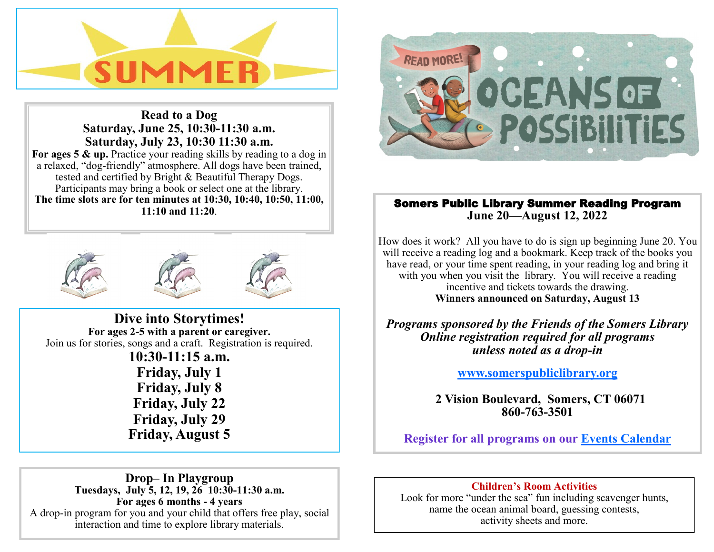

**Read to a Dog Saturday, June 25, 10:30-11:30 a.m. Saturday, July 23, 10:30 11:30 a.m.**  For ages 5 & up. Practice your reading skills by reading to a dog in a relaxed, "dog-friendly" atmosphere. All dogs have been trained, tested and certified by Bright & Beautiful Therapy Dogs. Participants may bring a book or select one at the library. **The time slots are for ten minutes at 10:30, 10:40, 10:50, 11:00, 11:10 and 11:20**.





**Dive into Storytimes! For ages 2-5 with a parent or caregiver.**  Join us for stories, songs and a craft. Registration is required. **10:30-11:15 a.m. Friday, July 1 Friday, July 8 Friday, July 22 Friday, July 29 Friday, August 5**



# Somers Public Library Summer Reading Program **June 20—August 12, 2022**

How does it work? All you have to do is sign up beginning June 20. You will receive a reading  $log$  and a bookmark. Keep track of the books you have read, or your time spent reading, in your reading log and bring it with you when you visit the library. You will receive a reading incentive and tickets towards the drawing. **Winners announced on Saturday, August 13** 

*Programs sponsored by the Friends of the Somers Library Online registration required for all programs unless noted as a drop-in*

**[www.somerspubliclibrary.org](http://www.somerspubliclibrary.org)**

 **2 Vision Boulevard, Somers, CT 06071 860-763-3501**

**Register for all programs on our [Events Calendar](http://www.eventkeeper.com/mars/xpages/S/SOMERS/ekp.cfm?curOrg=SOMERS)**

**Drop– In Playgroup Tuesdays, July 5, 12, 19, 26 10:30-11:30 a.m. For ages 6 months - 4 years** A drop-in program for you and your child that offers free play, social interaction and time to explore library materials.

## **Children's Room Activities**

Look for more "under the sea" fun including scavenger hunts, name the ocean animal board, guessing contests, activity sheets and more.